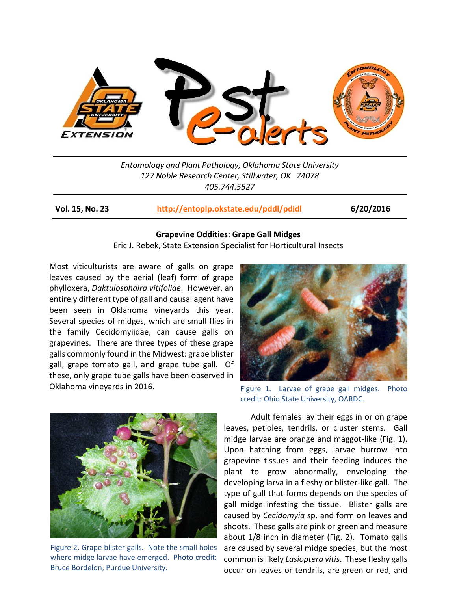

*Entomology and Plant Pathology, Oklahoma State University 127 Noble Research Center, Stillwater, OK 74078 405.744.5527*

**Vol. 15, No. 23 <http://entoplp.okstate.edu/pddl/pdidl> 6/20/2016**

## **Grapevine Oddities: Grape Gall Midges**

Eric J. Rebek, State Extension Specialist for Horticultural Insects

Most viticulturists are aware of galls on grape leaves caused by the aerial (leaf) form of grape phylloxera, *Daktulosphaira vitifoliae*. However, an entirely different type of gall and causal agent have been seen in Oklahoma vineyards this year. Several species of midges, which are small flies in the family Cecidomyiidae, can cause galls on grapevines. There are three types of these grape galls commonly found in the Midwest: grape blister gall, grape tomato gall, and grape tube gall. Of these, only grape tube galls have been observed in Oklahoma vineyards in 2016.



Figure 2. Grape blister galls. Note the small holes where midge larvae have emerged. Photo credit: Bruce Bordelon, Purdue University.



Figure 1. Larvae of grape gall midges. Photo credit: Ohio State University, OARDC.

Adult females lay their eggs in or on grape leaves, petioles, tendrils, or cluster stems. Gall midge larvae are orange and maggot-like (Fig. 1). Upon hatching from eggs, larvae burrow into grapevine tissues and their feeding induces the plant to grow abnormally, enveloping the developing larva in a fleshy or blister-like gall. The type of gall that forms depends on the species of gall midge infesting the tissue. Blister galls are caused by *Cecidomyia* sp. and form on leaves and shoots. These galls are pink or green and measure about 1/8 inch in diameter (Fig. 2). Tomato galls are caused by several midge species, but the most common is likely *Lasioptera vitis*. These fleshy galls occur on leaves or tendrils, are green or red, and